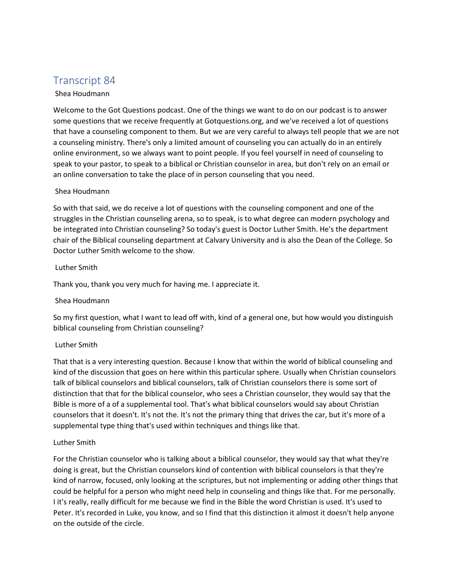# Transcript 84

# Shea Houdmann

Welcome to the Got Questions podcast. One of the things we want to do on our podcast is to answer some questions that we receive frequently at Gotquestions.org, and we've received a lot of questions that have a counseling component to them. But we are very careful to always tell people that we are not a counseling ministry. There's only a limited amount of counseling you can actually do in an entirely online environment, so we always want to point people. If you feel yourself in need of counseling to speak to your pastor, to speak to a biblical or Christian counselor in area, but don't rely on an email or an online conversation to take the place of in person counseling that you need.

#### Shea Houdmann

So with that said, we do receive a lot of questions with the counseling component and one of the struggles in the Christian counseling arena, so to speak, is to what degree can modern psychology and be integrated into Christian counseling? So today's guest is Doctor Luther Smith. He's the department chair of the Biblical counseling department at Calvary University and is also the Dean of the College. So Doctor Luther Smith welcome to the show.

#### Luther Smith

Thank you, thank you very much for having me. I appreciate it.

#### Shea Houdmann

So my first question, what I want to lead off with, kind of a general one, but how would you distinguish biblical counseling from Christian counseling?

#### Luther Smith

That that is a very interesting question. Because I know that within the world of biblical counseling and kind of the discussion that goes on here within this particular sphere. Usually when Christian counselors talk of biblical counselors and biblical counselors, talk of Christian counselors there is some sort of distinction that that for the biblical counselor, who sees a Christian counselor, they would say that the Bible is more of a of a supplemental tool. That's what biblical counselors would say about Christian counselors that it doesn't. It's not the. It's not the primary thing that drives the car, but it's more of a supplemental type thing that's used within techniques and things like that.

#### Luther Smith

For the Christian counselor who is talking about a biblical counselor, they would say that what they're doing is great, but the Christian counselors kind of contention with biblical counselors is that they're kind of narrow, focused, only looking at the scriptures, but not implementing or adding other things that could be helpful for a person who might need help in counseling and things like that. For me personally. I it's really, really difficult for me because we find in the Bible the word Christian is used. It's used to Peter. It's recorded in Luke, you know, and so I find that this distinction it almost it doesn't help anyone on the outside of the circle.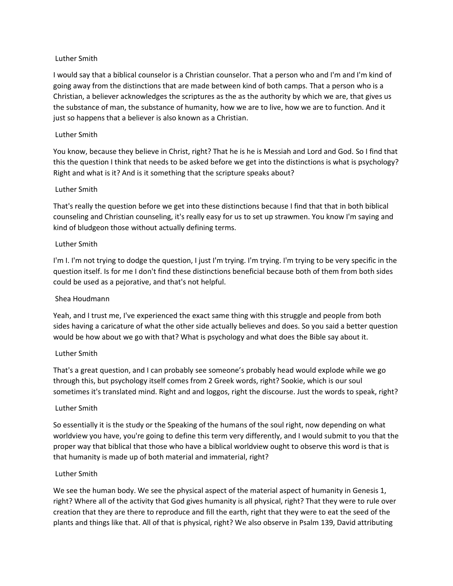#### Luther Smith

I would say that a biblical counselor is a Christian counselor. That a person who and I'm and I'm kind of going away from the distinctions that are made between kind of both camps. That a person who is a Christian, a believer acknowledges the scriptures as the as the authority by which we are, that gives us the substance of man, the substance of humanity, how we are to live, how we are to function. And it just so happens that a believer is also known as a Christian.

## Luther Smith

You know, because they believe in Christ, right? That he is he is Messiah and Lord and God. So I find that this the question I think that needs to be asked before we get into the distinctions is what is psychology? Right and what is it? And is it something that the scripture speaks about?

## Luther Smith

That's really the question before we get into these distinctions because I find that that in both biblical counseling and Christian counseling, it's really easy for us to set up strawmen. You know I'm saying and kind of bludgeon those without actually defining terms.

## Luther Smith

I'm I. I'm not trying to dodge the question, I just I'm trying. I'm trying. I'm trying to be very specific in the question itself. Is for me I don't find these distinctions beneficial because both of them from both sides could be used as a pejorative, and that's not helpful.

# Shea Houdmann

Yeah, and I trust me, I've experienced the exact same thing with this struggle and people from both sides having a caricature of what the other side actually believes and does. So you said a better question would be how about we go with that? What is psychology and what does the Bible say about it.

#### Luther Smith

That's a great question, and I can probably see someone's probably head would explode while we go through this, but psychology itself comes from 2 Greek words, right? Sookie, which is our soul sometimes it's translated mind. Right and and loggos, right the discourse. Just the words to speak, right?

#### Luther Smith

So essentially it is the study or the Speaking of the humans of the soul right, now depending on what worldview you have, you're going to define this term very differently, and I would submit to you that the proper way that biblical that those who have a biblical worldview ought to observe this word is that is that humanity is made up of both material and immaterial, right?

#### Luther Smith

We see the human body. We see the physical aspect of the material aspect of humanity in Genesis 1, right? Where all of the activity that God gives humanity is all physical, right? That they were to rule over creation that they are there to reproduce and fill the earth, right that they were to eat the seed of the plants and things like that. All of that is physical, right? We also observe in Psalm 139, David attributing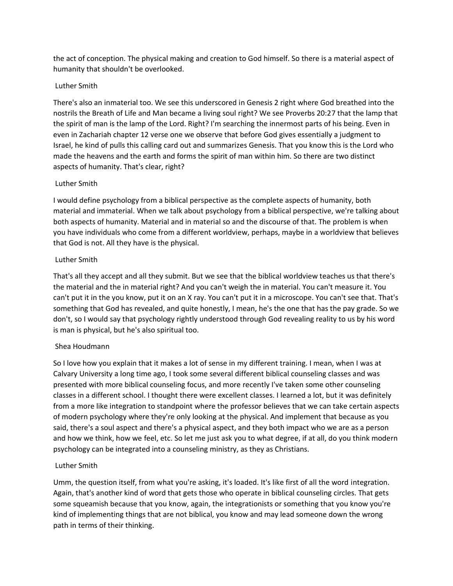the act of conception. The physical making and creation to God himself. So there is a material aspect of humanity that shouldn't be overlooked.

## Luther Smith

There's also an inmaterial too. We see this underscored in Genesis 2 right where God breathed into the nostrils the Breath of Life and Man became a living soul right? We see Proverbs 20:27 that the lamp that the spirit of man is the lamp of the Lord. Right? I'm searching the innermost parts of his being. Even in even in Zachariah chapter 12 verse one we observe that before God gives essentially a judgment to Israel, he kind of pulls this calling card out and summarizes Genesis. That you know this is the Lord who made the heavens and the earth and forms the spirit of man within him. So there are two distinct aspects of humanity. That's clear, right?

#### Luther Smith

I would define psychology from a biblical perspective as the complete aspects of humanity, both material and immaterial. When we talk about psychology from a biblical perspective, we're talking about both aspects of humanity. Material and in material so and the discourse of that. The problem is when you have individuals who come from a different worldview, perhaps, maybe in a worldview that believes that God is not. All they have is the physical.

#### Luther Smith

That's all they accept and all they submit. But we see that the biblical worldview teaches us that there's the material and the in material right? And you can't weigh the in material. You can't measure it. You can't put it in the you know, put it on an X ray. You can't put it in a microscope. You can't see that. That's something that God has revealed, and quite honestly, I mean, he's the one that has the pay grade. So we don't, so I would say that psychology rightly understood through God revealing reality to us by his word is man is physical, but he's also spiritual too.

# Shea Houdmann

So I love how you explain that it makes a lot of sense in my different training. I mean, when I was at Calvary University a long time ago, I took some several different biblical counseling classes and was presented with more biblical counseling focus, and more recently I've taken some other counseling classes in a different school. I thought there were excellent classes. I learned a lot, but it was definitely from a more like integration to standpoint where the professor believes that we can take certain aspects of modern psychology where they're only looking at the physical. And implement that because as you said, there's a soul aspect and there's a physical aspect, and they both impact who we are as a person and how we think, how we feel, etc. So let me just ask you to what degree, if at all, do you think modern psychology can be integrated into a counseling ministry, as they as Christians.

#### Luther Smith

Umm, the question itself, from what you're asking, it's loaded. It's like first of all the word integration. Again, that's another kind of word that gets those who operate in biblical counseling circles. That gets some squeamish because that you know, again, the integrationists or something that you know you're kind of implementing things that are not biblical, you know and may lead someone down the wrong path in terms of their thinking.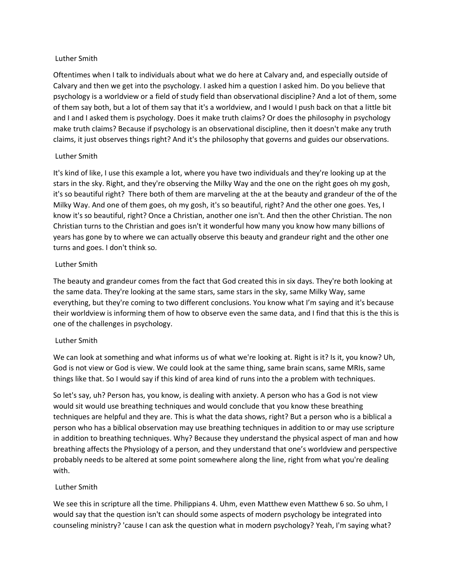#### Luther Smith

Oftentimes when I talk to individuals about what we do here at Calvary and, and especially outside of Calvary and then we get into the psychology. I asked him a question I asked him. Do you believe that psychology is a worldview or a field of study field than observational discipline? And a lot of them, some of them say both, but a lot of them say that it's a worldview, and I would I push back on that a little bit and I and I asked them is psychology. Does it make truth claims? Or does the philosophy in psychology make truth claims? Because if psychology is an observational discipline, then it doesn't make any truth claims, it just observes things right? And it's the philosophy that governs and guides our observations.

#### Luther Smith

It's kind of like, I use this example a lot, where you have two individuals and they're looking up at the stars in the sky. Right, and they're observing the Milky Way and the one on the right goes oh my gosh, it's so beautiful right? There both of them are marveling at the at the beauty and grandeur of the of the Milky Way. And one of them goes, oh my gosh, it's so beautiful, right? And the other one goes. Yes, I know it's so beautiful, right? Once a Christian, another one isn't. And then the other Christian. The non Christian turns to the Christian and goes isn't it wonderful how many you know how many billions of years has gone by to where we can actually observe this beauty and grandeur right and the other one turns and goes. I don't think so.

#### Luther Smith

The beauty and grandeur comes from the fact that God created this in six days. They're both looking at the same data. They're looking at the same stars, same stars in the sky, same Milky Way, same everything, but they're coming to two different conclusions. You know what I'm saying and it's because their worldview is informing them of how to observe even the same data, and I find that this is the this is one of the challenges in psychology.

#### Luther Smith

We can look at something and what informs us of what we're looking at. Right is it? Is it, you know? Uh, God is not view or God is view. We could look at the same thing, same brain scans, same MRIs, same things like that. So I would say if this kind of area kind of runs into the a problem with techniques.

So let's say, uh? Person has, you know, is dealing with anxiety. A person who has a God is not view would sit would use breathing techniques and would conclude that you know these breathing techniques are helpful and they are. This is what the data shows, right? But a person who is a biblical a person who has a biblical observation may use breathing techniques in addition to or may use scripture in addition to breathing techniques. Why? Because they understand the physical aspect of man and how breathing affects the Physiology of a person, and they understand that one's worldview and perspective probably needs to be altered at some point somewhere along the line, right from what you're dealing with.

#### Luther Smith

We see this in scripture all the time. Philippians 4. Uhm, even Matthew even Matthew 6 so. So uhm, I would say that the question isn't can should some aspects of modern psychology be integrated into counseling ministry? 'cause I can ask the question what in modern psychology? Yeah, I'm saying what?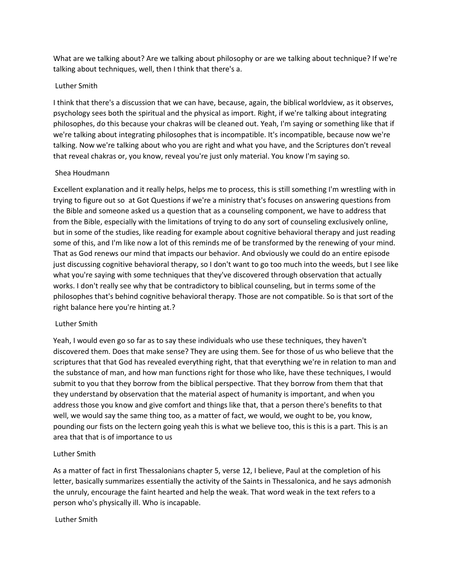What are we talking about? Are we talking about philosophy or are we talking about technique? If we're talking about techniques, well, then I think that there's a.

#### Luther Smith

I think that there's a discussion that we can have, because, again, the biblical worldview, as it observes, psychology sees both the spiritual and the physical as import. Right, if we're talking about integrating philosophes, do this because your chakras will be cleaned out. Yeah, I'm saying or something like that if we're talking about integrating philosophes that is incompatible. It's incompatible, because now we're talking. Now we're talking about who you are right and what you have, and the Scriptures don't reveal that reveal chakras or, you know, reveal you're just only material. You know I'm saying so.

## Shea Houdmann

Excellent explanation and it really helps, helps me to process, this is still something I'm wrestling with in trying to figure out so at Got Questions if we're a ministry that's focuses on answering questions from the Bible and someone asked us a question that as a counseling component, we have to address that from the Bible, especially with the limitations of trying to do any sort of counseling exclusively online, but in some of the studies, like reading for example about cognitive behavioral therapy and just reading some of this, and I'm like now a lot of this reminds me of be transformed by the renewing of your mind. That as God renews our mind that impacts our behavior. And obviously we could do an entire episode just discussing cognitive behavioral therapy, so I don't want to go too much into the weeds, but I see like what you're saying with some techniques that they've discovered through observation that actually works. I don't really see why that be contradictory to biblical counseling, but in terms some of the philosophes that's behind cognitive behavioral therapy. Those are not compatible. So is that sort of the right balance here you're hinting at.?

#### Luther Smith

Yeah, I would even go so far as to say these individuals who use these techniques, they haven't discovered them. Does that make sense? They are using them. See for those of us who believe that the scriptures that that God has revealed everything right, that that everything we're in relation to man and the substance of man, and how man functions right for those who like, have these techniques, I would submit to you that they borrow from the biblical perspective. That they borrow from them that that they understand by observation that the material aspect of humanity is important, and when you address those you know and give comfort and things like that, that a person there's benefits to that well, we would say the same thing too, as a matter of fact, we would, we ought to be, you know, pounding our fists on the lectern going yeah this is what we believe too, this is this is a part. This is an area that that is of importance to us

#### Luther Smith

As a matter of fact in first Thessalonians chapter 5, verse 12, I believe, Paul at the completion of his letter, basically summarizes essentially the activity of the Saints in Thessalonica, and he says admonish the unruly, encourage the faint hearted and help the weak. That word weak in the text refers to a person who's physically ill. Who is incapable.

#### Luther Smith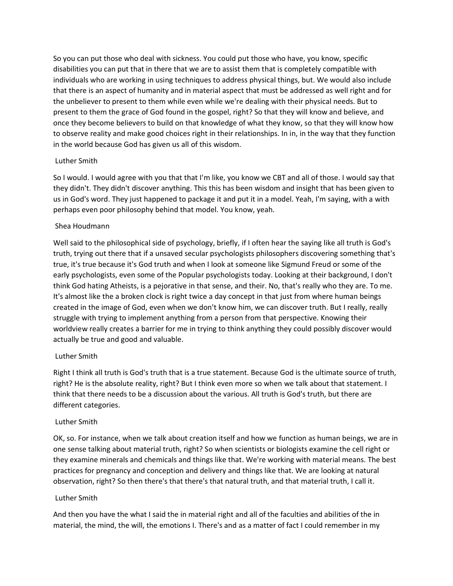So you can put those who deal with sickness. You could put those who have, you know, specific disabilities you can put that in there that we are to assist them that is completely compatible with individuals who are working in using techniques to address physical things, but. We would also include that there is an aspect of humanity and in material aspect that must be addressed as well right and for the unbeliever to present to them while even while we're dealing with their physical needs. But to present to them the grace of God found in the gospel, right? So that they will know and believe, and once they become believers to build on that knowledge of what they know, so that they will know how to observe reality and make good choices right in their relationships. In in, in the way that they function in the world because God has given us all of this wisdom.

#### Luther Smith

So I would. I would agree with you that that I'm like, you know we CBT and all of those. I would say that they didn't. They didn't discover anything. This this has been wisdom and insight that has been given to us in God's word. They just happened to package it and put it in a model. Yeah, I'm saying, with a with perhaps even poor philosophy behind that model. You know, yeah.

#### Shea Houdmann

Well said to the philosophical side of psychology, briefly, if I often hear the saying like all truth is God's truth, trying out there that if a unsaved secular psychologists philosophers discovering something that's true, it's true because it's God truth and when I look at someone like Sigmund Freud or some of the early psychologists, even some of the Popular psychologists today. Looking at their background, I don't think God hating Atheists, is a pejorative in that sense, and their. No, that's really who they are. To me. It's almost like the a broken clock is right twice a day concept in that just from where human beings created in the image of God, even when we don't know him, we can discover truth. But I really, really struggle with trying to implement anything from a person from that perspective. Knowing their worldview really creates a barrier for me in trying to think anything they could possibly discover would actually be true and good and valuable.

#### Luther Smith

Right I think all truth is God's truth that is a true statement. Because God is the ultimate source of truth, right? He is the absolute reality, right? But I think even more so when we talk about that statement. I think that there needs to be a discussion about the various. All truth is God's truth, but there are different categories.

#### Luther Smith

OK, so. For instance, when we talk about creation itself and how we function as human beings, we are in one sense talking about material truth, right? So when scientists or biologists examine the cell right or they examine minerals and chemicals and things like that. We're working with material means. The best practices for pregnancy and conception and delivery and things like that. We are looking at natural observation, right? So then there's that there's that natural truth, and that material truth, I call it.

#### Luther Smith

And then you have the what I said the in material right and all of the faculties and abilities of the in material, the mind, the will, the emotions I. There's and as a matter of fact I could remember in my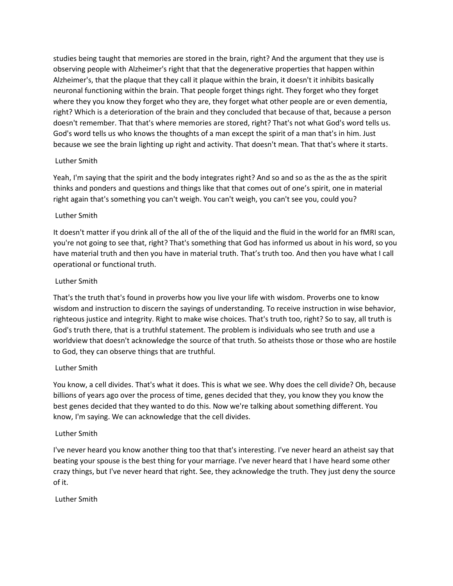studies being taught that memories are stored in the brain, right? And the argument that they use is observing people with Alzheimer's right that that the degenerative properties that happen within Alzheimer's, that the plaque that they call it plaque within the brain, it doesn't it inhibits basically neuronal functioning within the brain. That people forget things right. They forget who they forget where they you know they forget who they are, they forget what other people are or even dementia, right? Which is a deterioration of the brain and they concluded that because of that, because a person doesn't remember. That that's where memories are stored, right? That's not what God's word tells us. God's word tells us who knows the thoughts of a man except the spirit of a man that's in him. Just because we see the brain lighting up right and activity. That doesn't mean. That that's where it starts.

## Luther Smith

Yeah, I'm saying that the spirit and the body integrates right? And so and so as the as the as the spirit thinks and ponders and questions and things like that that comes out of one's spirit, one in material right again that's something you can't weigh. You can't weigh, you can't see you, could you?

## Luther Smith

It doesn't matter if you drink all of the all of the of the liquid and the fluid in the world for an fMRI scan, you're not going to see that, right? That's something that God has informed us about in his word, so you have material truth and then you have in material truth. That's truth too. And then you have what I call operational or functional truth.

## Luther Smith

That's the truth that's found in proverbs how you live your life with wisdom. Proverbs one to know wisdom and instruction to discern the sayings of understanding. To receive instruction in wise behavior, righteous justice and integrity. Right to make wise choices. That's truth too, right? So to say, all truth is God's truth there, that is a truthful statement. The problem is individuals who see truth and use a worldview that doesn't acknowledge the source of that truth. So atheists those or those who are hostile to God, they can observe things that are truthful.

# Luther Smith

You know, a cell divides. That's what it does. This is what we see. Why does the cell divide? Oh, because billions of years ago over the process of time, genes decided that they, you know they you know the best genes decided that they wanted to do this. Now we're talking about something different. You know, I'm saying. We can acknowledge that the cell divides.

#### Luther Smith

I've never heard you know another thing too that that's interesting. I've never heard an atheist say that beating your spouse is the best thing for your marriage. I've never heard that I have heard some other crazy things, but I've never heard that right. See, they acknowledge the truth. They just deny the source of it.

Luther Smith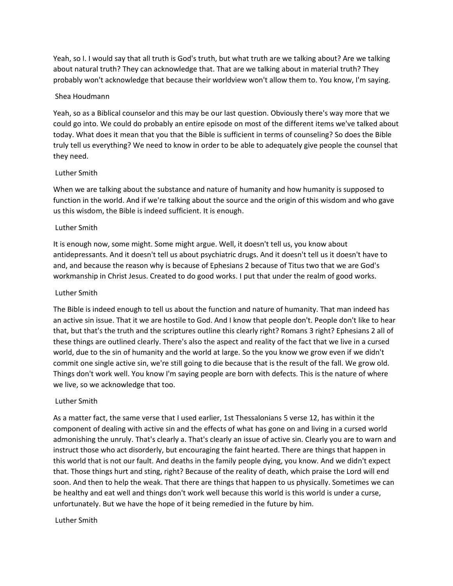Yeah, so I. I would say that all truth is God's truth, but what truth are we talking about? Are we talking about natural truth? They can acknowledge that. That are we talking about in material truth? They probably won't acknowledge that because their worldview won't allow them to. You know, I'm saying.

#### Shea Houdmann

Yeah, so as a Biblical counselor and this may be our last question. Obviously there's way more that we could go into. We could do probably an entire episode on most of the different items we've talked about today. What does it mean that you that the Bible is sufficient in terms of counseling? So does the Bible truly tell us everything? We need to know in order to be able to adequately give people the counsel that they need.

#### Luther Smith

When we are talking about the substance and nature of humanity and how humanity is supposed to function in the world. And if we're talking about the source and the origin of this wisdom and who gave us this wisdom, the Bible is indeed sufficient. It is enough.

#### Luther Smith

It is enough now, some might. Some might argue. Well, it doesn't tell us, you know about antidepressants. And it doesn't tell us about psychiatric drugs. And it doesn't tell us it doesn't have to and, and because the reason why is because of Ephesians 2 because of Titus two that we are God's workmanship in Christ Jesus. Created to do good works. I put that under the realm of good works.

#### Luther Smith

The Bible is indeed enough to tell us about the function and nature of humanity. That man indeed has an active sin issue. That it we are hostile to God. And I know that people don't. People don't like to hear that, but that's the truth and the scriptures outline this clearly right? Romans 3 right? Ephesians 2 all of these things are outlined clearly. There's also the aspect and reality of the fact that we live in a cursed world, due to the sin of humanity and the world at large. So the you know we grow even if we didn't commit one single active sin, we're still going to die because that is the result of the fall. We grow old. Things don't work well. You know I'm saying people are born with defects. This is the nature of where we live, so we acknowledge that too.

#### Luther Smith

As a matter fact, the same verse that I used earlier, 1st Thessalonians 5 verse 12, has within it the component of dealing with active sin and the effects of what has gone on and living in a cursed world admonishing the unruly. That's clearly a. That's clearly an issue of active sin. Clearly you are to warn and instruct those who act disorderly, but encouraging the faint hearted. There are things that happen in this world that is not our fault. And deaths in the family people dying, you know. And we didn't expect that. Those things hurt and sting, right? Because of the reality of death, which praise the Lord will end soon. And then to help the weak. That there are things that happen to us physically. Sometimes we can be healthy and eat well and things don't work well because this world is this world is under a curse, unfortunately. But we have the hope of it being remedied in the future by him.

#### Luther Smith